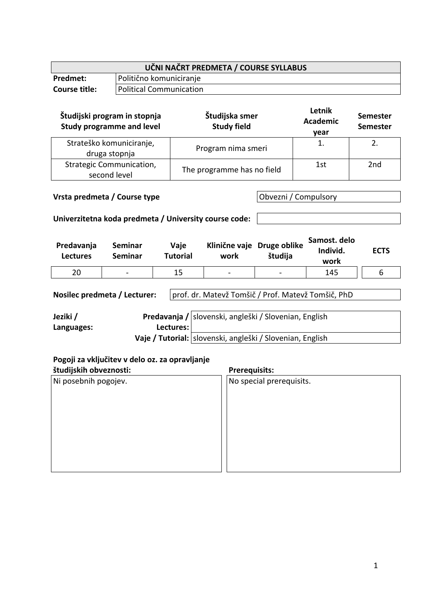| UČNI NAČRT PREDMETA / COURSE SYLLABUS |                         |  |
|---------------------------------------|-------------------------|--|
| Predmet:                              | Politično komuniciranje |  |
| <b>Course title:</b>                  | Political Communication |  |

| Študijski program in stopnja<br><b>Study programme and level</b> | Študijska smer<br><b>Study field</b> | Letnik<br><b>Academic</b><br>year | <b>Semester</b><br><b>Semester</b> |
|------------------------------------------------------------------|--------------------------------------|-----------------------------------|------------------------------------|
| Strateško komuniciranje,<br>druga stopnja                        | Program nima smeri                   |                                   |                                    |
| <b>Strategic Communication,</b><br>second level                  | The programme has no field           | 1st                               | 2nd                                |

## **Vrsta predmeta / Course type Obvezni / Compulsory**

## **Univerzitetna koda predmeta / University course code:**

| Predavanja<br><b>Lectures</b> | Seminar<br>Seminar | Vaje<br>Tutorial | Klinične vaje Druge oblike<br>work | študija        | Samost. delo<br>Individ.<br>work | <b>ECTS</b> |
|-------------------------------|--------------------|------------------|------------------------------------|----------------|----------------------------------|-------------|
| 20                            | $\blacksquare$     | 15               | $\blacksquare$                     | $\blacksquare$ | 145                              |             |

**Nosilec predmeta / Lecturer:** prof. dr. Matevž Tomšič / Prof. Matevž Tomšič, PhD

| Jeziki /   |             | Predavanja / slovenski, angleški / Slovenian, English     |
|------------|-------------|-----------------------------------------------------------|
| Languages: | Lectures: I |                                                           |
|            |             | Vaje / Tutorial: slovenski, angleški / Slovenian, English |

# **Pogoji za vključitev v delo oz. za opravljanje**

| študijskih obveznosti: | <b>Prerequisits:</b>     |  |
|------------------------|--------------------------|--|
| Ni posebnih pogojev.   | No special prerequisits. |  |
|                        |                          |  |
|                        |                          |  |
|                        |                          |  |
|                        |                          |  |
|                        |                          |  |
|                        |                          |  |
|                        |                          |  |
|                        |                          |  |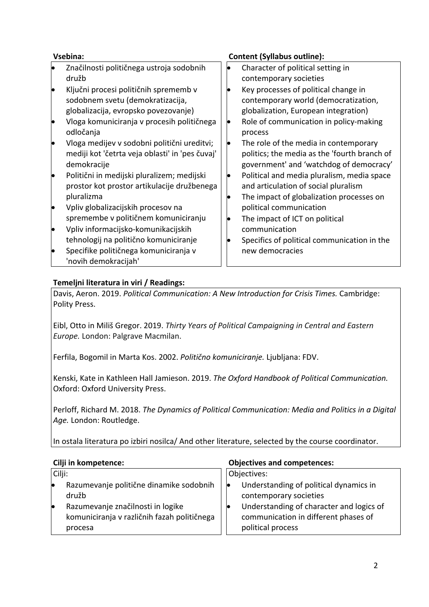| Vsebina: |                                                                                                                                                                 |    | <b>Content (Syllabus outline):</b>                                                                                                                             |
|----------|-----------------------------------------------------------------------------------------------------------------------------------------------------------------|----|----------------------------------------------------------------------------------------------------------------------------------------------------------------|
|          | Značilnosti političnega ustroja sodobnih<br>družb                                                                                                               |    | Character of political setting in<br>contemporary societies                                                                                                    |
|          | Ključni procesi političnih sprememb v<br>sodobnem svetu (demokratizacija,<br>globalizacija, evropsko povezovanje)<br>Vloga komuniciranja v procesih političnega |    | Key processes of political change in<br>contemporary world (democratization,<br>globalization, European integration)<br>Role of communication in policy-making |
|          | odločanja                                                                                                                                                       |    | process                                                                                                                                                        |
|          | Vloga medijev v sodobni politični ureditvi;<br>mediji kot 'četrta veja oblasti' in 'pes čuvaj'<br>demokracije                                                   | lo | The role of the media in contemporary<br>politics; the media as the 'fourth branch of<br>government' and 'watchdog of democracy'                               |
|          | Politični in medijski pluralizem; medijski<br>prostor kot prostor artikulacije družbenega<br>pluralizma                                                         |    | Political and media pluralism, media space<br>and articulation of social pluralism<br>The impact of globalization processes on                                 |
|          | Vpliv globalizacijskih procesov na                                                                                                                              |    | political communication                                                                                                                                        |
|          | spremembe v političnem komuniciranju<br>Vpliv informacijsko-komunikacijskih                                                                                     |    | The impact of ICT on political<br>communication                                                                                                                |
|          | tehnologij na politično komuniciranje<br>Specifike političnega komuniciranja v<br>'novih demokracijah'                                                          |    | Specifics of political communication in the<br>new democracies                                                                                                 |

## **Temeljni literatura in viri / Readings:**

Davis, Aeron. 2019. *Political Communication: A New Introduction for Crisis Times.* Cambridge: Polity Press.

Eibl, Otto in Miliš Gregor. 2019. *Thirty Years of Political Campaigning in Central and Eastern Europe.* London: Palgrave Macmilan.

Ferfila, Bogomil in Marta Kos. 2002. *Politično komuniciranje.* Ljubljana: FDV.

Kenski, Kate in Kathleen Hall Jamieson. 2019. *The Oxford Handbook of Political Communication.* Oxford: Oxford University Press.

Perloff, Richard M. 2018. *The Dynamics of Political Communication: Media and Politics in a Digital Age.* London: Routledge.

In ostala literatura po izbiri nosilca/ And other literature, selected by the course coordinator.

Cilji:

- Razumevanje politične dinamike sodobnih družb
- Razumevanje značilnosti in logike komuniciranja v različnih fazah političnega procesa

### **Cilji in kompetence: Objectives and competences:**

Objectives:

- Understanding of political dynamics in contemporary societies
- Understanding of character and logics of communication in different phases of political process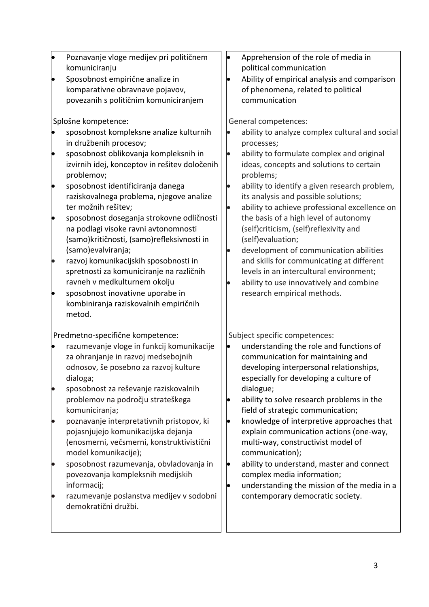| þ<br>le<br>$\bullet$ | Poznavanje vloge medijev pri političnem<br>komuniciranju<br>Sposobnost empirične analize in<br>komparativne obravnave pojavov,<br>povezanih s političnim komuniciranjem<br>Splošne kompetence:<br>sposobnost kompleksne analize kulturnih<br>in družbenih procesov;<br>sposobnost oblikovanja kompleksnih in<br>izvirnih idej, konceptov in rešitev določenih<br>problemov;<br>sposobnost identificiranja danega<br>raziskovalnega problema, njegove analize<br>ter možnih rešitev;<br>sposobnost doseganja strokovne odličnosti<br>na podlagi visoke ravni avtonomnosti<br>(samo) kritičnosti, (samo) refleksivnosti in<br>(samo) evalviranja;<br>razvoj komunikacijskih sposobnosti in<br>spretnosti za komuniciranje na različnih<br>ravneh v medkulturnem okolju |                | Apprehension of the role of media in<br>political communication<br>Ability of empirical analysis and comparison<br>of phenomena, related to political<br>communication<br>General competences:<br>ability to analyze complex cultural and social<br>processes;<br>ability to formulate complex and original<br>ideas, concepts and solutions to certain<br>problems;<br>ability to identify a given research problem,<br>its analysis and possible solutions;<br>ability to achieve professional excellence on<br>the basis of a high level of autonomy<br>(self)criticism, (self)reflexivity and<br>(self)evaluation;<br>development of communication abilities<br>and skills for communicating at different<br>levels in an intercultural environment;<br>ability to use innovatively and combine |
|----------------------|----------------------------------------------------------------------------------------------------------------------------------------------------------------------------------------------------------------------------------------------------------------------------------------------------------------------------------------------------------------------------------------------------------------------------------------------------------------------------------------------------------------------------------------------------------------------------------------------------------------------------------------------------------------------------------------------------------------------------------------------------------------------|----------------|-----------------------------------------------------------------------------------------------------------------------------------------------------------------------------------------------------------------------------------------------------------------------------------------------------------------------------------------------------------------------------------------------------------------------------------------------------------------------------------------------------------------------------------------------------------------------------------------------------------------------------------------------------------------------------------------------------------------------------------------------------------------------------------------------------|
|                      | sposobnost inovativne uporabe in<br>kombiniranja raziskovalnih empiričnih<br>metod.<br>Predmetno-specifične kompetence:                                                                                                                                                                                                                                                                                                                                                                                                                                                                                                                                                                                                                                              |                | research empirical methods.<br>Subject specific competences:                                                                                                                                                                                                                                                                                                                                                                                                                                                                                                                                                                                                                                                                                                                                        |
| lo                   | razumevanje vloge in funkcij komunikacije<br>za ohranjanje in razvoj medsebojnih<br>odnosov, še posebno za razvoj kulture<br>dialoga;<br>sposobnost za reševanje raziskovalnih                                                                                                                                                                                                                                                                                                                                                                                                                                                                                                                                                                                       |                | understanding the role and functions of<br>communication for maintaining and<br>developing interpersonal relationships,<br>especially for developing a culture of<br>dialogue;                                                                                                                                                                                                                                                                                                                                                                                                                                                                                                                                                                                                                      |
|                      | problemov na področju strateškega<br>komuniciranja;                                                                                                                                                                                                                                                                                                                                                                                                                                                                                                                                                                                                                                                                                                                  |                | ability to solve research problems in the<br>field of strategic communication;                                                                                                                                                                                                                                                                                                                                                                                                                                                                                                                                                                                                                                                                                                                      |
| $\bullet$            | poznavanje interpretativnih pristopov, ki<br>pojasnjujejo komunikacijska dejanja<br>(enosmerni, večsmerni, konstruktivistični<br>model komunikacije);                                                                                                                                                                                                                                                                                                                                                                                                                                                                                                                                                                                                                |                | knowledge of interpretive approaches that<br>explain communication actions (one-way,<br>multi-way, constructivist model of<br>communication);                                                                                                                                                                                                                                                                                                                                                                                                                                                                                                                                                                                                                                                       |
| $\bullet$            | sposobnost razumevanja, obvladovanja in<br>povezovanja kompleksnih medijskih<br>informacij;<br>razumevanje poslanstva medijev v sodobni<br>demokratični družbi.                                                                                                                                                                                                                                                                                                                                                                                                                                                                                                                                                                                                      | þ<br>$\bullet$ | ability to understand, master and connect<br>complex media information;<br>understanding the mission of the media in a<br>contemporary democratic society.                                                                                                                                                                                                                                                                                                                                                                                                                                                                                                                                                                                                                                          |
|                      |                                                                                                                                                                                                                                                                                                                                                                                                                                                                                                                                                                                                                                                                                                                                                                      |                |                                                                                                                                                                                                                                                                                                                                                                                                                                                                                                                                                                                                                                                                                                                                                                                                     |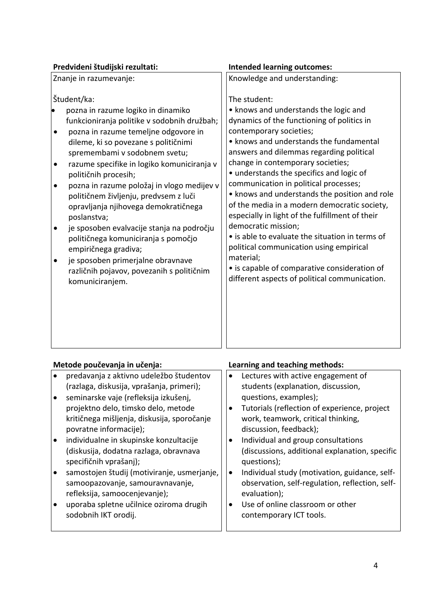| Predvideni študijski rezultati:                                                                                                                                                                                                                                                                                                                                                                                                                                                                                                                                                                                                                                          | <b>Intended learning outcomes:</b>                                                                                                                                                                                                                                                                                                                                                                                                                                                                                                                                                                                                                                                                                                     |  |
|--------------------------------------------------------------------------------------------------------------------------------------------------------------------------------------------------------------------------------------------------------------------------------------------------------------------------------------------------------------------------------------------------------------------------------------------------------------------------------------------------------------------------------------------------------------------------------------------------------------------------------------------------------------------------|----------------------------------------------------------------------------------------------------------------------------------------------------------------------------------------------------------------------------------------------------------------------------------------------------------------------------------------------------------------------------------------------------------------------------------------------------------------------------------------------------------------------------------------------------------------------------------------------------------------------------------------------------------------------------------------------------------------------------------------|--|
| Znanje in razumevanje:                                                                                                                                                                                                                                                                                                                                                                                                                                                                                                                                                                                                                                                   | Knowledge and understanding:                                                                                                                                                                                                                                                                                                                                                                                                                                                                                                                                                                                                                                                                                                           |  |
| Študent/ka:<br>pozna in razume logiko in dinamiko<br>funkcioniranja politike v sodobnih družbah;<br>pozna in razume temeljne odgovore in<br>dileme, ki so povezane s političnimi<br>spremembami v sodobnem svetu;<br>razume specifike in logiko komuniciranja v<br>٠<br>političnih procesih;<br>pozna in razume položaj in vlogo medijev v<br>političnem življenju, predvsem z luči<br>opravljanja njihovega demokratičnega<br>poslanstva;<br>je sposoben evalvacije stanja na področju<br>političnega komuniciranja s pomočjo<br>empiričnega gradiva;<br>je sposoben primerjalne obravnave<br>$\bullet$<br>različnih pojavov, povezanih s političnim<br>komuniciranjem. | The student:<br>• knows and understands the logic and<br>dynamics of the functioning of politics in<br>contemporary societies;<br>• knows and understands the fundamental<br>answers and dilemmas regarding political<br>change in contemporary societies;<br>• understands the specifics and logic of<br>communication in political processes;<br>• knows and understands the position and role<br>of the media in a modern democratic society,<br>especially in light of the fulfillment of their<br>democratic mission;<br>• is able to evaluate the situation in terms of<br>political communication using empirical<br>material;<br>• is capable of comparative consideration of<br>different aspects of political communication. |  |

# **Metode poučevanja in učenja: Learning and teaching methods:**

| predavanja z aktivno udeležbo študentov<br>(razlaga, diskusija, vprašanja, primeri);                             | $\bullet$ | Lectures with active engagement of<br>students (explanation, discussion,                                         |
|------------------------------------------------------------------------------------------------------------------|-----------|------------------------------------------------------------------------------------------------------------------|
| seminarske vaje (refleksija izkušenj,                                                                            |           | questions, examples);                                                                                            |
| projektno delo, timsko delo, metode                                                                              |           | Tutorials (reflection of experience, project                                                                     |
| kritičnega mišljenja, diskusija, sporočanje                                                                      |           | work, teamwork, critical thinking,                                                                               |
| povratne informacije);                                                                                           |           | discussion, feedback);                                                                                           |
| individualne in skupinske konzultacije                                                                           | ٠         | Individual and group consultations                                                                               |
| (diskusija, dodatna razlaga, obravnava<br>specifičnih vprašanj);                                                 |           | (discussions, additional explanation, specific<br>questions);                                                    |
| samostojen študij (motiviranje, usmerjanje,<br>samoopazovanje, samouravnavanje,<br>refleksija, samoocenjevanje); | $\bullet$ | Individual study (motivation, guidance, self-<br>observation, self-regulation, reflection, self-<br>evaluation); |
| uporaba spletne učilnice oziroma drugih<br>sodobnih IKT orodij.                                                  | ٠         | Use of online classroom or other<br>contemporary ICT tools.                                                      |